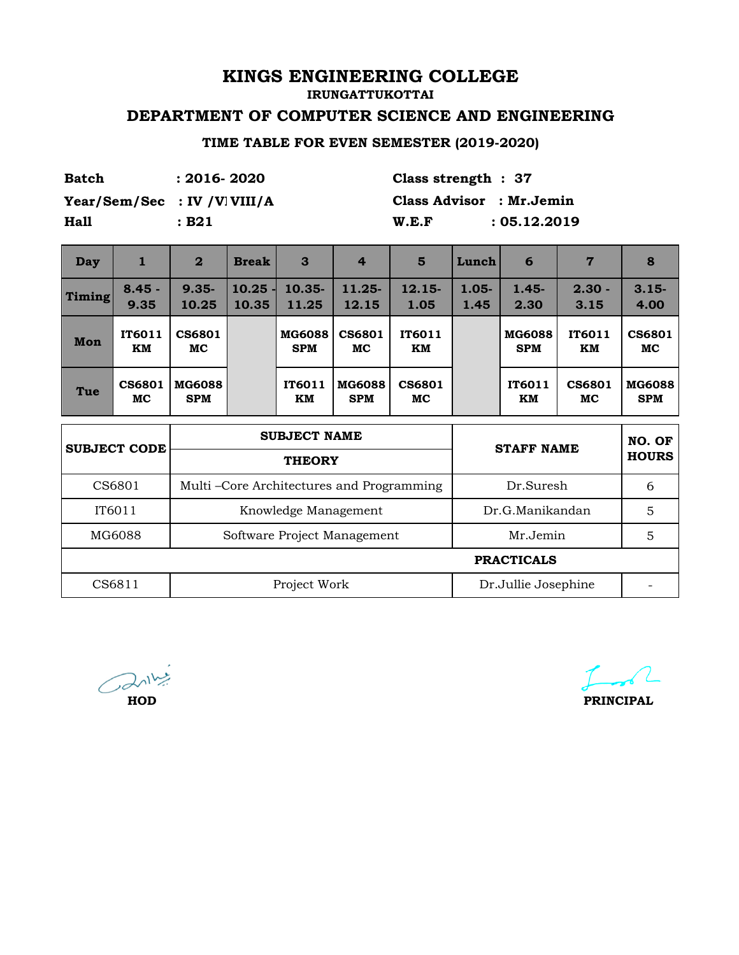**IRUNGATTUKOTTAI**

## **DEPARTMENT OF COMPUTER SCIENCE AND ENGINEERING**

### **TIME TABLE FOR EVEN SEMESTER (2019-2020)**

| Batch                         | $: 2016 - 2020$ |  | Class strength $: 37$    |              |  |
|-------------------------------|-----------------|--|--------------------------|--------------|--|
| Year/Sem/Sec : IV / V  VIII/A |                 |  | Class Advisor : Mr.Jemin |              |  |
| <b>Hall</b>                   | : B21           |  | W.E.F                    | : 05.12.2019 |  |
|                               |                 |  |                          |              |  |

| <b>Day</b>    | 1                   | $\overline{2}$              | <b>Break</b>   | $\mathbf{3}$                             | $\overline{4}$              | 5                   | Lunch            | 6                           | 7                   | 8                           |  |
|---------------|---------------------|-----------------------------|----------------|------------------------------------------|-----------------------------|---------------------|------------------|-----------------------------|---------------------|-----------------------------|--|
| <b>Timing</b> | $8.45 -$<br>9.35    | $9.35 -$<br>10.25           | 10.25<br>10.35 | 10.35-<br>11.25                          | 11.25-<br>12.15             | $12.15-$<br>1.05    | $1.05 -$<br>1.45 | $1.45 -$<br>2.30            | $2.30 -$<br>3.15    | $3.15 -$<br>4.00            |  |
| Mon           | <b>IT6011</b><br>KM | <b>CS6801</b><br>MC         |                | <b>MG6088</b><br><b>SPM</b>              | <b>CS6801</b><br>MC         | IT6011<br>KM        |                  | <b>MG6088</b><br><b>SPM</b> | IT6011<br>KM        | <b>CS6801</b><br>MC         |  |
| Tue           | <b>CS6801</b><br>MC | <b>MG6088</b><br><b>SPM</b> |                | IT6011<br>KM                             | <b>MG6088</b><br><b>SPM</b> | <b>CS6801</b><br>MC |                  | IT6011<br>KM                | <b>CS6801</b><br>MC | <b>MG6088</b><br><b>SPM</b> |  |
|               | <b>SUBJECT CODE</b> | <b>SUBJECT NAME</b>         |                |                                          |                             |                     |                  | <b>STAFF NAME</b>           |                     |                             |  |
|               |                     |                             |                | <b>THEORY</b>                            |                             |                     |                  |                             |                     | <b>HOURS</b>                |  |
|               | CS6801              |                             |                | Multi-Core Architectures and Programming |                             |                     |                  | Dr.Suresh                   |                     | 6                           |  |
|               | IT6011              |                             |                | Knowledge Management                     |                             |                     |                  | Dr.G.Manikandan             |                     | 5                           |  |
|               | MG6088              |                             |                |                                          | Software Project Management |                     |                  | Mr.Jemin                    |                     | 5                           |  |
|               |                     |                             |                |                                          |                             |                     |                  | <b>PRACTICALS</b>           |                     |                             |  |
|               | CS6811              |                             |                | Project Work                             |                             |                     |                  | Dr.Jullie Josephine         |                     |                             |  |

 $\bigodot$   $\bigodot$ **HOD**

**PRINCIPAL**

and the first party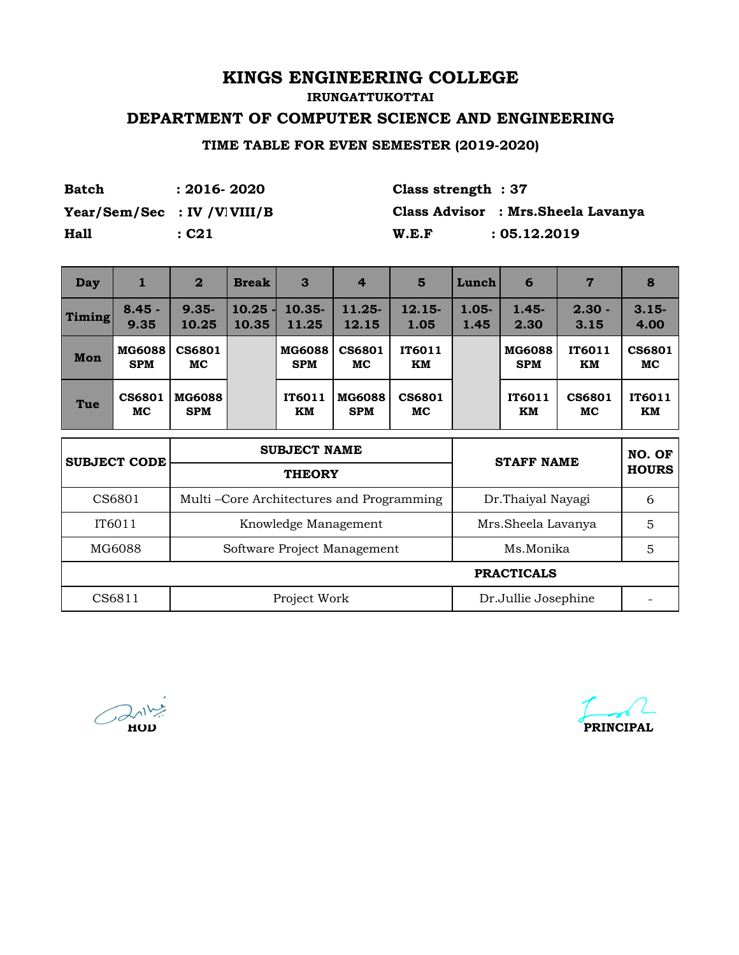**IRUNGATTUKOTTAI**

### **DEPARTMENT OF COMPUTER SCIENCE AND ENGINEERING**

**TIME TABLE FOR EVEN SEMESTER (2019-2020)**

| <b>Batch</b>                  | $: 2016 - 2020$ | Class strength $: 37$ |                                     |
|-------------------------------|-----------------|-----------------------|-------------------------------------|
| $Year/Sem/Sec$ : IV /V VIII/B |                 |                       | Class Advisor : Mrs. Sheela Lavanya |
| <b>Hall</b>                   | : C21           | W.E.F                 | : 05.12.2019                        |

| Day    | 1                           | $\overline{2}$              | <b>Break</b>                               | $\mathbf{3}$                | $\overline{4}$                           | 5                   | Lunch            | 6                           | 7                   | 8                   |
|--------|-----------------------------|-----------------------------|--------------------------------------------|-----------------------------|------------------------------------------|---------------------|------------------|-----------------------------|---------------------|---------------------|
| Timing | $8.45 -$<br>9.35            | $9.35 -$<br>10.25           | $10.25 -$<br>10.35                         | $10.35 -$<br>11.25          | 11.25-<br>12.15                          | $12.15-$<br>1.05    | $1.05 -$<br>1.45 | $1.45 -$<br>2.30            | $2.30 -$<br>3.15    | $3.15 -$<br>4.00    |
| Mon    | <b>MG6088</b><br><b>SPM</b> | <b>CS6801</b><br>МC         |                                            | <b>MG6088</b><br><b>SPM</b> | <b>CS6801</b><br>МC                      | IT6011<br>KM        |                  | <b>MG6088</b><br><b>SPM</b> | IT6011<br>KM        | <b>CS6801</b><br>MC |
| Tue    | CS6801<br>MC                | <b>MG6088</b><br><b>SPM</b> |                                            | <b>IT6011</b><br>KM         | <b>MG6088</b><br><b>SPM</b>              | <b>CS6801</b><br>MC |                  | <b>IT6011</b><br>KM         | <b>CS6801</b><br>MC | IT6011<br>KM        |
|        | <b>SUBJECT CODE</b>         |                             |                                            | <b>SUBJECT NAME</b>         |                                          |                     | NO. OF           |                             |                     |                     |
|        |                             |                             |                                            | <b>THEORY</b>               |                                          |                     |                  | <b>STAFF NAME</b>           |                     | <b>HOURS</b>        |
|        | CS6801                      |                             |                                            |                             | Multi-Core Architectures and Programming |                     |                  | Dr.Thaiyal Nayagi           |                     | 6                   |
|        | IT6011                      |                             | Knowledge Management<br>Mrs.Sheela Lavanya |                             |                                          |                     | 5                |                             |                     |                     |
|        | MG6088                      |                             |                                            |                             | Software Project Management              |                     |                  | Ms.Monika                   |                     | 5                   |
|        |                             |                             |                                            |                             |                                          |                     |                  | <b>PRACTICALS</b>           |                     |                     |
|        | CS6811                      |                             |                                            | Project Work                |                                          |                     |                  | Dr.Jullie Josephine         |                     |                     |

ىر **HOD**

**PRINCIPAL**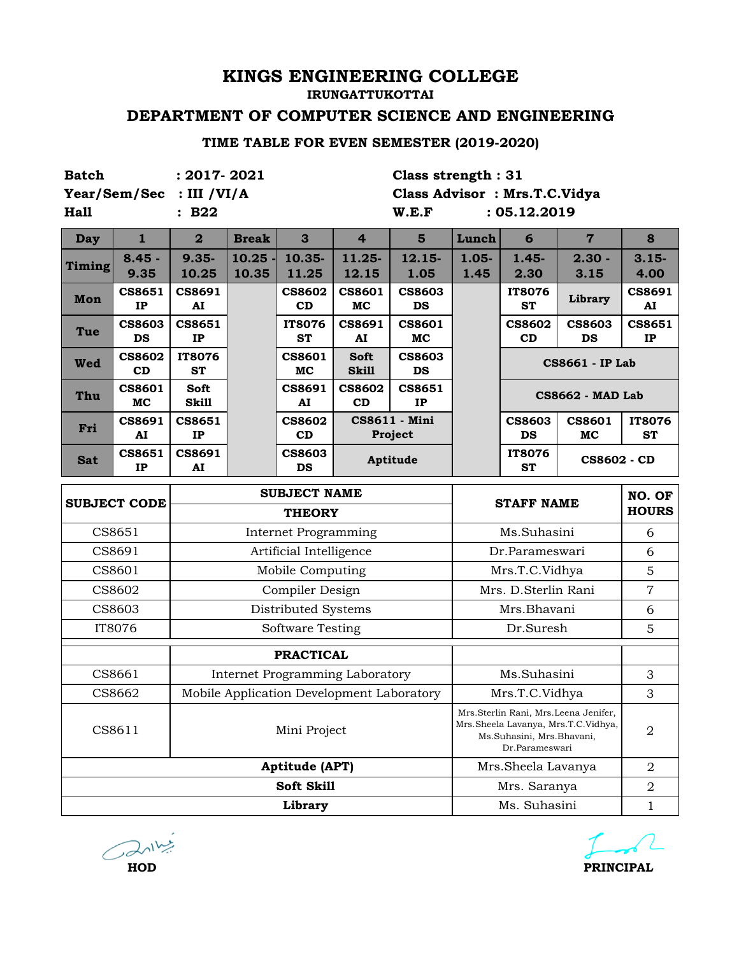#### **IRUNGATTUKOTTAI**

## **DEPARTMENT OF COMPUTER SCIENCE AND ENGINEERING**

### **TIME TABLE FOR EVEN SEMESTER (2019-2020)**

| <b>Batch</b>  |                            | $: 2017 - 2021$            |              |                             |                                           | Class strength: 31           |                   |                                             |                                                                             |                            |
|---------------|----------------------------|----------------------------|--------------|-----------------------------|-------------------------------------------|------------------------------|-------------------|---------------------------------------------|-----------------------------------------------------------------------------|----------------------------|
|               | Year/Sem/Sec               | : III / VI/A               |              |                             |                                           | Class Advisor: Mrs.T.C.Vidya |                   |                                             |                                                                             |                            |
| <b>Hall</b>   |                            | :B22                       |              |                             |                                           | W.E.F                        |                   | : 05.12.2019                                |                                                                             |                            |
| <b>Day</b>    | $\mathbf{1}$               | $\overline{\mathbf{2}}$    | <b>Break</b> | 3                           | $\overline{4}$                            | $5\phantom{1}$               | Lunch             | 6                                           | $\overline{7}$                                                              | 8                          |
| <b>Timing</b> | $8.45 -$                   | $9.35 -$                   | 10.25        | 10.35-                      | 11.25-                                    | 12.15-                       | $1.05 -$          | $1.45 -$                                    | $2.30 -$                                                                    | $3.15 -$                   |
|               | 9.35                       | 10.25                      | 10.35        | 11.25                       | 12.15                                     | 1.05                         | 1.45              | 2.30                                        | 3.15                                                                        | 4.00                       |
| Mon           | CS8651<br>IP               | <b>CS8691</b><br>AI        |              | <b>CS8602</b><br>CD         | <b>CS8601</b><br><b>MC</b>                | <b>CS8603</b><br><b>DS</b>   |                   | <b>IT8076</b><br><b>ST</b>                  | Library                                                                     | <b>CS8691</b><br>AI        |
| Tue           | <b>CS8603</b><br><b>DS</b> | <b>CS8651</b><br>IP        |              | IT8076<br><b>ST</b>         | <b>CS8691</b><br>AI                       | <b>CS8601</b><br>MC          |                   | <b>CS8602</b><br>CD                         | <b>CS8603</b><br>DS                                                         | CS8651<br>IP               |
| <b>Wed</b>    | <b>CS8602</b><br>CD        | <b>IT8076</b><br><b>ST</b> |              | <b>CS8601</b><br>MC         | <b>Soft</b><br><b>Skill</b>               | <b>CS8603</b><br>DS          |                   |                                             | <b>CS8661 - IP Lab</b>                                                      |                            |
| Thu           | <b>CS8601</b><br>MC        | Soft<br><b>Skill</b>       |              | <b>CS8691</b><br>AI         | <b>CS8602</b><br>CD                       | <b>CS8651</b><br>IP          |                   |                                             | <b>CS8662 - MAD Lab</b>                                                     |                            |
| Fri           | <b>CS8691</b><br>AI        | <b>CS8651</b><br>IP        |              | <b>CS8602</b><br>CD         |                                           | CS8611 - Mini<br>Project     |                   | <b>CS8603</b><br><b>DS</b>                  | <b>CS8601</b><br>MC                                                         | <b>IT8076</b><br><b>ST</b> |
| <b>Sat</b>    | CS8651<br>IP               | <b>CS8691</b><br>AI        |              | <b>CS8603</b><br><b>DS</b>  |                                           | Aptitude                     |                   | IT8076<br><b>ST</b>                         | <b>CS8602 - CD</b>                                                          |                            |
|               |                            |                            |              | <b>SUBJECT NAME</b>         |                                           |                              |                   |                                             |                                                                             | NO. OF                     |
|               |                            |                            |              |                             |                                           |                              | <b>STAFF NAME</b> |                                             |                                                                             |                            |
|               | <b>SUBJECT CODE</b>        |                            |              | <b>THEORY</b>               |                                           |                              |                   |                                             |                                                                             | <b>HOURS</b>               |
|               | CS8651                     |                            |              | <b>Internet Programming</b> |                                           |                              |                   | Ms.Suhasini                                 |                                                                             | 6                          |
|               | CS8691                     |                            |              | Artificial Intelligence     |                                           |                              |                   | Dr.Parameswari                              |                                                                             | 6                          |
|               | CS8601                     |                            |              | Mobile Computing            |                                           |                              |                   | Mrs.T.C.Vidhya                              |                                                                             | 5                          |
|               | CS8602                     |                            |              | Compiler Design             |                                           |                              |                   | Mrs. D.Sterlin Rani                         |                                                                             | $\overline{7}$             |
|               | CS8603                     |                            |              | Distributed Systems         |                                           |                              |                   | Mrs.Bhavani                                 |                                                                             | 6                          |
|               | IT8076                     |                            |              | Software Testing            |                                           |                              |                   | Dr.Suresh                                   |                                                                             | 5                          |
|               |                            |                            |              | <b>PRACTICAL</b>            |                                           |                              |                   |                                             |                                                                             |                            |
|               | CS8661                     |                            |              |                             | Internet Programming Laboratory           |                              |                   | Ms.Suhasini                                 |                                                                             | 3                          |
|               | CS8662                     |                            |              |                             | Mobile Application Development Laboratory |                              |                   | Mrs.T.C.Vidhya                              |                                                                             | 3                          |
|               | CS8611                     |                            |              | Mini Project                |                                           |                              |                   | Ms.Suhasini, Mrs.Bhavani,<br>Dr.Parameswari | Mrs.Sterlin Rani, Mrs.Leena Jenifer,<br>Mrs.Sheela Lavanya, Mrs.T.C.Vidhya, | $\overline{2}$             |
|               |                            |                            |              | <b>Aptitude (APT)</b>       |                                           |                              |                   | Mrs.Sheela Lavanya                          |                                                                             | 2                          |
|               |                            |                            |              | Soft Skill<br>Library       |                                           |                              |                   | Mrs. Saranya<br>Ms. Suhasini                |                                                                             | 2                          |

 $\bigodot$   $\lambda$ <sup>11</sup> $\frac{1}{2}$ **HOD**

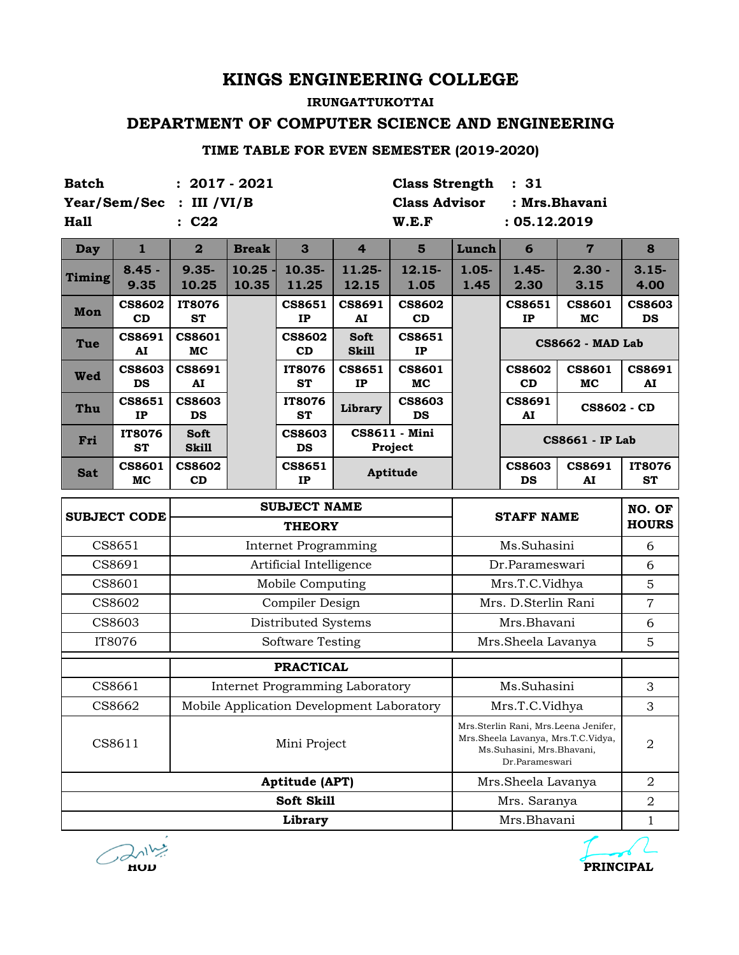## **IRUNGATTUKOTTAI DEPARTMENT OF COMPUTER SCIENCE AND ENGINEERING**

#### **TIME TABLE FOR EVEN SEMESTER (2019-2020)**

| <b>Batch</b> |                            | $: 2017 - 2021$             |                    |                                      |                                           | <b>Class Strength</b>      |                  | : 31                                        |                                                                            |                            |
|--------------|----------------------------|-----------------------------|--------------------|--------------------------------------|-------------------------------------------|----------------------------|------------------|---------------------------------------------|----------------------------------------------------------------------------|----------------------------|
|              | Year/Sem/Sec               | : III /VI/B                 |                    |                                      |                                           | <b>Class Advisor</b>       |                  |                                             | : Mrs.Bhavani                                                              |                            |
| Hall         |                            | : C22                       |                    |                                      |                                           | W.E.F                      |                  | : 05.12.2019                                |                                                                            |                            |
| <b>Day</b>   | $\mathbf{1}$               | $\overline{\mathbf{2}}$     | <b>Break</b>       | 3                                    | $\overline{4}$                            | $5\phantom{1}$             | Lunch            | 6                                           | $\overline{7}$                                                             | 8                          |
| Timing       | $8.45 -$<br>9.35           | $9.35 -$<br>10.25           | $10.25 -$<br>10.35 | 10.35-<br>11.25                      | 11.25-<br>12.15                           | 12.15-<br>1.05             | $1.05 -$<br>1.45 | $1.45 -$<br>2.30                            | $2.30 -$<br>3.15                                                           | $3.15 -$<br>4.00           |
| Mon          | <b>CS8602</b><br>CD        | <b>IT8076</b><br><b>ST</b>  |                    | <b>CS8651</b><br>IP                  | <b>CS8691</b><br>AI                       | <b>CS8602</b><br>CD        |                  | <b>CS8651</b><br>IP                         | <b>CS8601</b><br>MC                                                        | <b>CS8603</b><br>DS        |
| Tue          | <b>CS8691</b><br>AI        | <b>CS8601</b><br>MC         |                    | <b>CS8602</b><br>CD                  | <b>Soft</b><br><b>Skill</b>               | <b>CS8651</b><br>IP        |                  |                                             | <b>CS8662 - MAD Lab</b>                                                    |                            |
| Wed          | <b>CS8603</b><br><b>DS</b> | <b>CS8691</b><br>AI         |                    | <b>IT8076</b><br><b>ST</b>           | <b>CS8651</b><br>IP                       | <b>CS8601</b><br>MC        |                  | <b>CS8602</b><br>CD                         | <b>CS8601</b><br>MC                                                        | <b>CS8691</b><br>AI        |
| Thu          | <b>CS8651</b><br>IP        | <b>CS8603</b><br><b>DS</b>  |                    | <b>IT8076</b><br><b>ST</b>           | Library                                   | <b>CS8603</b><br><b>DS</b> |                  | <b>CS8691</b><br>AI                         | <b>CS8602 - CD</b>                                                         |                            |
| Fri          | <b>IT8076</b><br><b>ST</b> | <b>Soft</b><br><b>Skill</b> |                    | <b>CS8603</b><br><b>DS</b>           |                                           | CS8611 - Mini<br>Project   |                  |                                             | <b>CS8661 - IP Lab</b>                                                     |                            |
| <b>Sat</b>   | <b>CS8601</b><br>MC        | <b>CS8602</b><br>CD         |                    | <b>CS8651</b><br>IP                  |                                           | Aptitude                   |                  | <b>CS8603</b><br><b>DS</b>                  | <b>CS8691</b><br>AI                                                        | <b>IT8076</b><br><b>ST</b> |
|              |                            |                             |                    |                                      |                                           |                            |                  |                                             |                                                                            |                            |
|              |                            |                             |                    |                                      |                                           |                            |                  |                                             |                                                                            |                            |
|              | <b>SUBJECT CODE</b>        |                             |                    | <b>SUBJECT NAME</b><br><b>THEORY</b> |                                           |                            |                  | <b>STAFF NAME</b>                           |                                                                            | NO. OF<br><b>HOURS</b>     |
|              | CS8651                     |                             |                    | <b>Internet Programming</b>          |                                           |                            |                  | Ms.Suhasini                                 |                                                                            | 6                          |
|              | CS8691                     |                             |                    | Artificial Intelligence              |                                           |                            |                  | Dr.Parameswari                              |                                                                            | 6                          |
|              | CS8601                     |                             |                    | Mobile Computing                     |                                           |                            |                  | Mrs.T.C.Vidhya                              |                                                                            | $\overline{5}$             |
|              | CS8602                     |                             |                    | Compiler Design                      |                                           |                            |                  | Mrs. D.Sterlin Rani                         |                                                                            | $\overline{7}$             |
|              | CS8603                     |                             |                    | Distributed Systems                  |                                           |                            |                  | Mrs.Bhavani                                 |                                                                            | 6                          |
|              | IT8076                     |                             |                    | <b>Software Testing</b>              |                                           |                            |                  | Mrs.Sheela Lavanya                          |                                                                            | 5                          |
|              |                            |                             |                    | <b>PRACTICAL</b>                     |                                           |                            |                  |                                             |                                                                            |                            |
|              | CS8661                     |                             |                    |                                      | Internet Programming Laboratory           |                            |                  | Ms.Suhasini                                 |                                                                            | 3                          |
|              | CS8662                     |                             |                    |                                      | Mobile Application Development Laboratory |                            |                  | Mrs.T.C.Vidhya                              |                                                                            | 3                          |
|              | CS8611                     |                             |                    | Mini Project                         |                                           |                            |                  | Ms.Suhasini, Mrs.Bhavani,<br>Dr.Parameswari | Mrs.Sterlin Rani, Mrs.Leena Jenifer,<br>Mrs.Sheela Lavanya, Mrs.T.C.Vidya, | $\overline{2}$             |
|              |                            |                             |                    | Aptitude (APT)                       |                                           |                            |                  | Mrs.Sheela Lavanya                          |                                                                            | 2                          |
|              |                            |                             |                    | Soft Skill<br>Library                |                                           |                            |                  | Mrs. Saranya<br>Mrs.Bhavani                 |                                                                            | $\overline{2}$             |



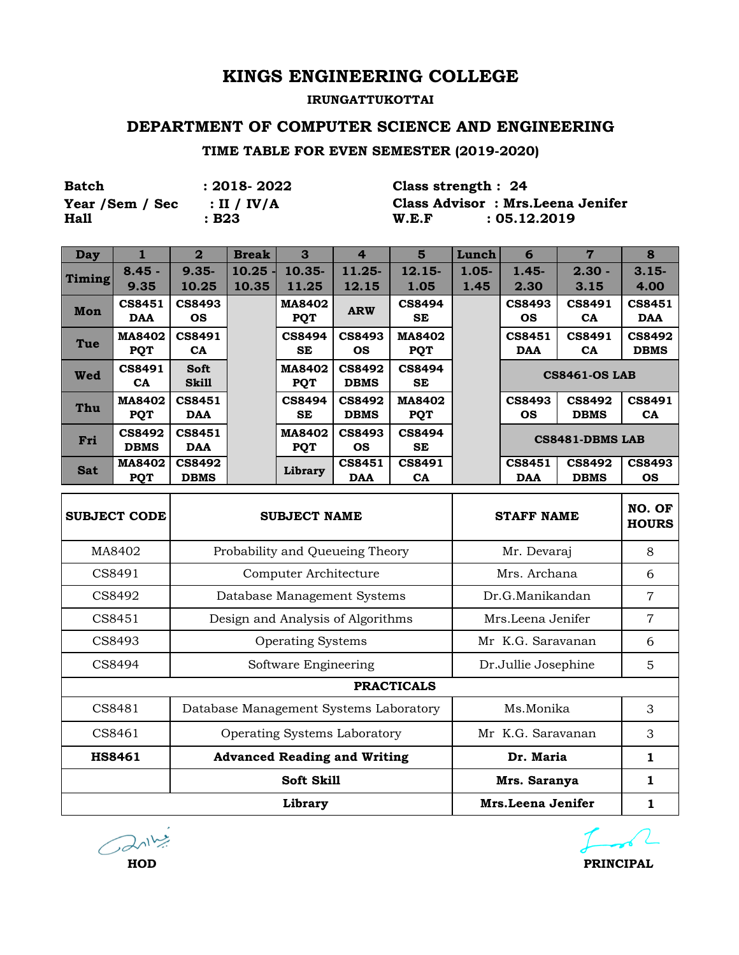#### **IRUNGATTUKOTTAI**

#### **DEPARTMENT OF COMPUTER SCIENCE AND ENGINEERING**

#### **TIME TABLE FOR EVEN SEMESTER (2019-2020)**

| <b>Batch</b>     | : 2018- 2022           | Class strength : $24$ |                                   |
|------------------|------------------------|-----------------------|-----------------------------------|
| Year / Sem / Sec | $\therefore$ II / IV/A |                       | Class Advisor: Mrs. Leena Jenifer |
| <b>Hall</b>      | : B23                  | W.E.F                 | : 05.12.2019                      |

| <b>Day</b>    |                              | $\mathbf{2}$                 | <b>Break</b> | 3                           | $\overline{4}$               | 5                           | Lunch    | 6                          | $\overline{7}$               | 8                            |
|---------------|------------------------------|------------------------------|--------------|-----------------------------|------------------------------|-----------------------------|----------|----------------------------|------------------------------|------------------------------|
|               | $8.45 -$                     | $9.35 -$                     | 10.25        | $10.35 -$                   | $11.25 -$                    | $12.15-$                    | $1.05 -$ | $1.45 -$                   | $2.30 -$                     | $3.15 -$                     |
| <b>Timing</b> | 9.35                         | 10.25                        | 10.35        | 11.25                       | 12.15                        | 1.05                        | 1.45     | 2.30                       | 3.15                         | 4.00                         |
| Mon           | <b>CS8451</b><br>DAA         | <b>CS8493</b><br><b>OS</b>   |              | <b>MA8402</b><br><b>PQT</b> | <b>ARW</b>                   | <b>CS8494</b><br>SE.        |          | <b>CS8493</b><br><b>OS</b> | <b>CS8491</b><br><b>CA</b>   | <b>CS8451</b><br><b>DAA</b>  |
| Tue           | <b>MA8402</b><br><b>PQT</b>  | <b>CS8491</b><br><b>CA</b>   |              | <b>CS8494</b><br><b>SE</b>  | <b>CS8493</b><br><b>OS</b>   | <b>MA8402</b><br><b>PQT</b> |          | <b>CS8451</b><br>DAA       | <b>CS8491</b><br><b>CA</b>   | <b>CS8492</b><br><b>DBMS</b> |
| Wed           | <b>CS8491</b><br><b>CA</b>   | <b>Soft</b><br><b>Skill</b>  |              | <b>MA8402</b><br><b>POT</b> | <b>CS8492</b><br><b>DBMS</b> | <b>CS8494</b><br><b>SE</b>  |          |                            | <b>CS8461-OS LAB</b>         |                              |
| Thu           | <b>MA8402</b><br><b>PQT</b>  | CS8451<br>DAA                |              | <b>CS8494</b><br><b>SE</b>  | <b>CS8492</b><br><b>DBMS</b> | <b>MA8402</b><br><b>PQT</b> |          | <b>CS8493</b><br><b>OS</b> | <b>CS8492</b><br><b>DBMS</b> | <b>CS8491</b><br><b>CA</b>   |
| Fri           | <b>CS8492</b><br><b>DBMS</b> | <b>CS8451</b><br>DAA         |              | <b>MA8402</b><br><b>PQT</b> | <b>CS8493</b><br><b>OS</b>   | <b>CS8494</b><br><b>SE</b>  |          |                            | CS8481-DBMS LAB              |                              |
| <b>Sat</b>    | <b>MA8402</b><br><b>PQT</b>  | <b>CS8492</b><br><b>DBMS</b> |              | Library                     | <b>CS8451</b><br>DAA         | <b>CS8491</b><br><b>CA</b>  |          | <b>CS8451</b><br>DAA       | <b>CS8492</b><br><b>DBMS</b> | <b>CS8493</b><br><b>OS</b>   |

| <b>SUBJECT CODE</b> | <b>SUBJECT NAME</b>                    | <b>STAFF NAME</b>   | NO. OF<br><b>HOURS</b> |
|---------------------|----------------------------------------|---------------------|------------------------|
| MA8402              | Probability and Queueing Theory        | Mr. Devaraj         | 8                      |
| CS8491              | Computer Architecture                  | Mrs. Archana        | 6                      |
| CS8492              | Database Management Systems            | Dr.G.Manikandan     | 7                      |
| CS8451              | Design and Analysis of Algorithms      | Mrs.Leena Jenifer   | 7                      |
| CS8493              | <b>Operating Systems</b>               | Mr K.G. Saravanan   | 6                      |
| CS8494              | Software Engineering                   | Dr.Jullie Josephine | 5                      |
|                     | <b>PRACTICALS</b>                      |                     |                        |
| CS8481              | Database Management Systems Laboratory | Ms.Monika           | 3                      |
| CS8461              | <b>Operating Systems Laboratory</b>    | Mr K.G. Saravanan   | 3                      |
| <b>HS8461</b>       | <b>Advanced Reading and Writing</b>    | Dr. Maria           | 1                      |
|                     | Soft Skill                             | Mrs. Saranya        | 1                      |
|                     | Library                                | Mrs.Leena Jenifer   |                        |

 $Ca^{11}$ **HOD**

**PRINCIPAL**